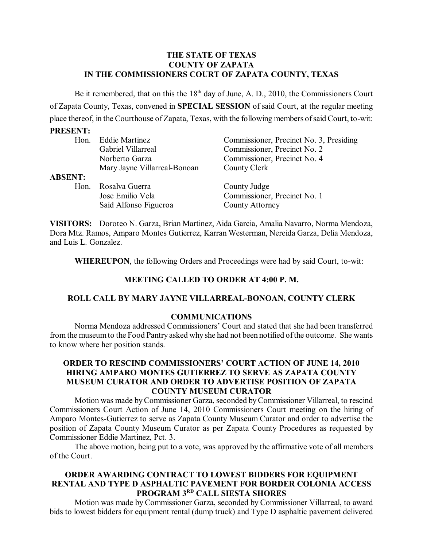## **THE STATE OF TEXAS COUNTY OF ZAPATA IN THE COMMISSIONERS COURT OF ZAPATA COUNTY, TEXAS**

Be it remembered, that on this the  $18<sup>th</sup>$  day of June, A. D., 2010, the Commissioners Court of Zapata County, Texas, convened in **SPECIAL SESSION** of said Court, at the regular meeting place thereof, in the Courthouse of Zapata, Texas, with the following members of said Court, to-wit:

## **PRESENT:**

|                | Hon. Eddie Martinez          | Commissioner, Precinct No. 3, Presiding |
|----------------|------------------------------|-----------------------------------------|
|                | Gabriel Villarreal           | Commissioner, Precinct No. 2            |
|                | Norberto Garza               | Commissioner, Precinct No. 4            |
|                | Mary Jayne Villarreal-Bonoan | County Clerk                            |
| <b>ABSENT:</b> |                              |                                         |
| Hon.           | Rosalva Guerra               | County Judge                            |
|                | Jose Emilio Vela             | Commissioner, Precinct No. 1            |
|                | Saíd Alfonso Figueroa        | County Attorney                         |
|                |                              |                                         |

**VISITORS:** Doroteo N. Garza, Brian Martinez, Aida Garcia, Amalia Navarro, Norma Mendoza, Dora Mtz. Ramos, Amparo Montes Gutierrez, Karran Westerman, Nereida Garza, Delia Mendoza, and Luis L. Gonzalez.

**WHEREUPON**, the following Orders and Proceedings were had by said Court, to-wit:

# **MEETING CALLED TO ORDER AT 4:00 P. M.**

#### **ROLL CALL BY MARY JAYNE VILLARREAL-BONOAN, COUNTY CLERK**

#### **COMMUNICATIONS**

Norma Mendoza addressed Commissioners' Court and stated that she had been transferred from the museumto the Food Pantry asked why she had not been notified ofthe outcome. She wants to know where her position stands.

#### **ORDER TO RESCIND COMMISSIONERS' COURT ACTION OF JUNE 14, 2010 HIRING AMPARO MONTES GUTIERREZ TO SERVE AS ZAPATA COUNTY MUSEUM CURATOR AND ORDER TO ADVERTISE POSITION OF ZAPATA COUNTY MUSEUM CURATOR**

Motion was made by Commissioner Garza, seconded by Commissioner Villarreal, to rescind Commissioners Court Action of June 14, 2010 Commissioners Court meeting on the hiring of Amparo Montes-Gutierrez to serve as Zapata County Museum Curator and order to advertise the position of Zapata County Museum Curator as per Zapata County Procedures as requested by Commissioner Eddie Martinez, Pct. 3.

The above motion, being put to a vote, was approved by the affirmative vote of all members of the Court.

## **ORDER AWARDING CONTRACT TO LOWEST BIDDERS FOR EQUIPMENT RENTAL AND TYPE D ASPHALTIC PAVEMENT FOR BORDER COLONIA ACCESS PROGRAM 3RD CALL SIESTA SHORES**

Motion was made by Commissioner Garza, seconded by Commissioner Villarreal, to award bids to lowest bidders for equipment rental (dump truck) and Type D asphaltic pavement delivered